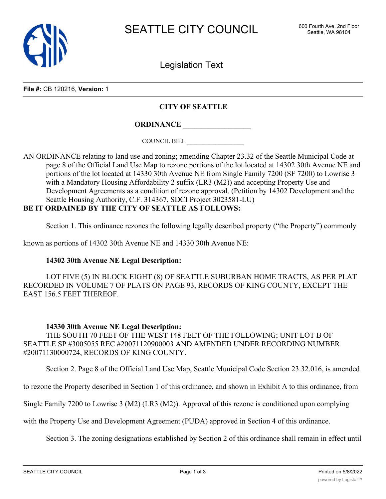

Legislation Text

**File #:** CB 120216, **Version:** 1

## **CITY OF SEATTLE**

**ORDINANCE \_\_\_\_\_\_\_\_\_\_\_\_\_\_\_\_\_\_**

COUNCIL BILL \_\_\_\_\_\_\_\_\_\_\_\_\_\_\_\_\_\_

AN ORDINANCE relating to land use and zoning; amending Chapter 23.32 of the Seattle Municipal Code at page 8 of the Official Land Use Map to rezone portions of the lot located at 14302 30th Avenue NE and portions of the lot located at 14330 30th Avenue NE from Single Family 7200 (SF 7200) to Lowrise 3 with a Mandatory Housing Affordability 2 suffix (LR3 (M2)) and accepting Property Use and Development Agreements as a condition of rezone approval. (Petition by 14302 Development and the Seattle Housing Authority, C.F. 314367, SDCI Project 3023581-LU)

## **BE IT ORDAINED BY THE CITY OF SEATTLE AS FOLLOWS:**

Section 1. This ordinance rezones the following legally described property ("the Property") commonly

known as portions of 14302 30th Avenue NE and 14330 30th Avenue NE:

## **14302 30th Avenue NE Legal Description:**

LOT FIVE (5) IN BLOCK EIGHT (8) OF SEATTLE SUBURBAN HOME TRACTS, AS PER PLAT RECORDED IN VOLUME 7 OF PLATS ON PAGE 93, RECORDS OF KING COUNTY, EXCEPT THE EAST 156.5 FEET THEREOF.

## **14330 30th Avenue NE Legal Description:**

THE SOUTH 70 FEET OF THE WEST 148 FEET OF THE FOLLOWING; UNIT LOT B OF SEATTLE SP #3005055 REC #20071120900003 AND AMENDED UNDER RECORDING NUMBER #20071130000724, RECORDS OF KING COUNTY.

Section 2. Page 8 of the Official Land Use Map, Seattle Municipal Code Section 23.32.016, is amended

to rezone the Property described in Section 1 of this ordinance, and shown in Exhibit A to this ordinance, from

Single Family 7200 to Lowrise 3 (M2) (LR3 (M2)). Approval of this rezone is conditioned upon complying

with the Property Use and Development Agreement (PUDA) approved in Section 4 of this ordinance.

Section 3. The zoning designations established by Section 2 of this ordinance shall remain in effect until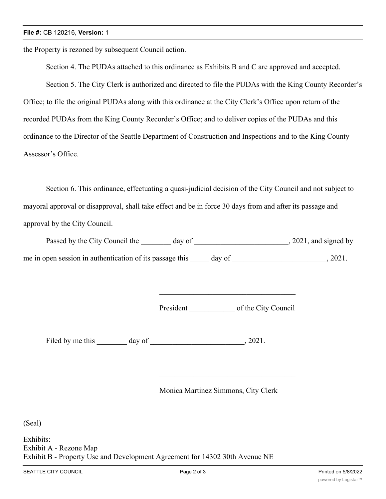the Property is rezoned by subsequent Council action.

Section 4. The PUDAs attached to this ordinance as Exhibits B and C are approved and accepted.

Section 5. The City Clerk is authorized and directed to file the PUDAs with the King County Recorder's

Office; to file the original PUDAs along with this ordinance at the City Clerk's Office upon return of the recorded PUDAs from the King County Recorder's Office; and to deliver copies of the PUDAs and this ordinance to the Director of the Seattle Department of Construction and Inspections and to the King County Assessor's Office.

Section 6. This ordinance, effectuating a quasi-judicial decision of the City Council and not subject to mayoral approval or disapproval, shall take effect and be in force 30 days from and after its passage and approval by the City Council.

Passed by the City Council the \_\_\_\_\_\_\_ day of \_\_\_\_\_\_\_\_\_\_\_\_\_\_\_\_\_\_\_\_\_\_\_, 2021, and signed by me in open session in authentication of its passage this \_\_\_\_\_ day of \_\_\_\_\_\_\_\_\_\_\_\_\_\_\_\_\_\_\_\_\_\_\_\_\_\_\_\_\_, 2021.

President of the City Council

Filed by me this \_\_\_\_\_\_\_ day of \_\_\_\_\_\_\_\_\_\_\_\_\_\_\_\_\_\_\_\_\_\_\_\_, 2021.

Monica Martinez Simmons, City Clerk

(Seal)

Exhibits: Exhibit A - Rezone Map Exhibit B - Property Use and Development Agreement for 14302 30th Avenue NE